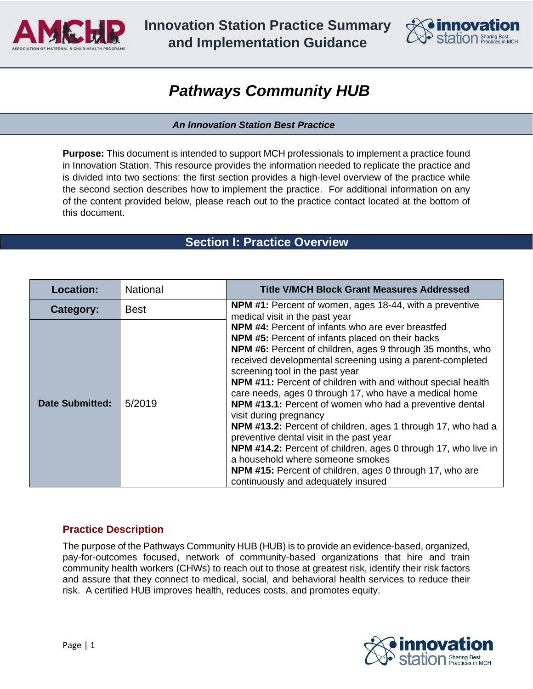

**Innovation Station Practice Summary and Implementation Guidance**



# *Pathways Community HUB*

#### *An Innovation Station Best Practice*

**Purpose:** This document is intended to support MCH professionals to implement a practice found in Innovation Station. This resource provides the information needed to replicate the practice and is divided into two sections: the first section provides a high-level overview of the practice while the second section describes how to implement the practice. For additional information on any of the content provided below, please reach out to the practice contact located at the bottom of this document.

# **Section I: Practice Overview**

| <b>Location:</b>       | <b>National</b> | <b>Title V/MCH Block Grant Measures Addressed</b>                                                                                                                                                                                                                                                                                                                                                                                                                                                                                                                                                                                                                                                                                                                                                                            |  |  |
|------------------------|-----------------|------------------------------------------------------------------------------------------------------------------------------------------------------------------------------------------------------------------------------------------------------------------------------------------------------------------------------------------------------------------------------------------------------------------------------------------------------------------------------------------------------------------------------------------------------------------------------------------------------------------------------------------------------------------------------------------------------------------------------------------------------------------------------------------------------------------------------|--|--|
| Category:              | <b>Best</b>     | <b>NPM #1:</b> Percent of women, ages 18-44, with a preventive<br>medical visit in the past year                                                                                                                                                                                                                                                                                                                                                                                                                                                                                                                                                                                                                                                                                                                             |  |  |
| <b>Date Submitted:</b> | 5/2019          | <b>NPM #4:</b> Percent of infants who are ever breastfed<br><b>NPM #5:</b> Percent of infants placed on their backs<br>NPM #6: Percent of children, ages 9 through 35 months, who<br>received developmental screening using a parent-completed<br>screening tool in the past year<br>NPM #11: Percent of children with and without special health<br>care needs, ages 0 through 17, who have a medical home<br>NPM #13.1: Percent of women who had a preventive dental<br>visit during pregnancy<br>NPM #13.2: Percent of children, ages 1 through 17, who had a<br>preventive dental visit in the past year<br>NPM #14.2: Percent of children, ages 0 through 17, who live in<br>a household where someone smokes<br><b>NPM #15:</b> Percent of children, ages 0 through 17, who are<br>continuously and adequately insured |  |  |

# **Practice Description**

The purpose of the Pathways Community HUB (HUB) is to provide an evidence-based, organized, pay-for-outcomes focused, network of community-based organizations that hire and train community health workers (CHWs) to reach out to those at greatest risk, identify their risk factors and assure that they connect to medical, social, and behavioral health services to reduce their risk. A certified HUB improves health, reduces costs, and promotes equity.

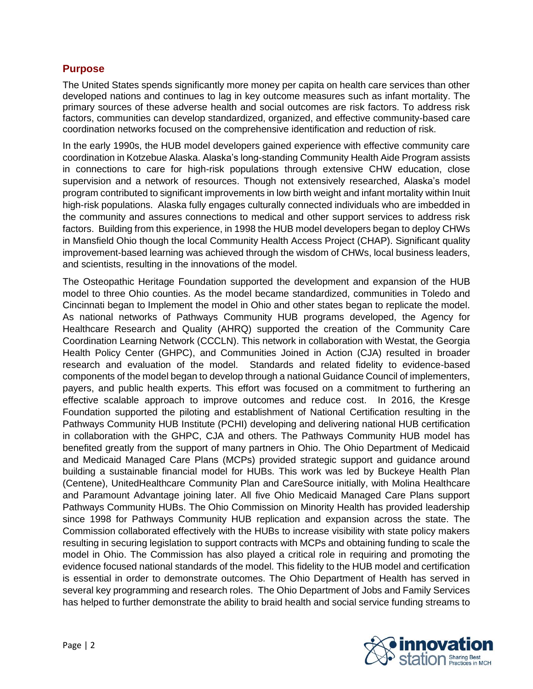## **Purpose**

The United States spends significantly more money per capita on health care services than other developed nations and continues to lag in key outcome measures such as infant mortality. The primary sources of these adverse health and social outcomes are risk factors. To address risk factors, communities can develop standardized, organized, and effective community-based care coordination networks focused on the comprehensive identification and reduction of risk.

In the early 1990s, the HUB model developers gained experience with effective community care coordination in Kotzebue Alaska. Alaska's long-standing Community Health Aide Program assists in connections to care for high-risk populations through extensive CHW education, close supervision and a network of resources. Though not extensively researched, Alaska's model program contributed to significant improvements in low birth weight and infant mortality within Inuit high-risk populations. Alaska fully engages culturally connected individuals who are imbedded in the community and assures connections to medical and other support services to address risk factors. Building from this experience, in 1998 the HUB model developers began to deploy CHWs in Mansfield Ohio though the local Community Health Access Project (CHAP). Significant quality improvement-based learning was achieved through the wisdom of CHWs, local business leaders, and scientists, resulting in the innovations of the model.

The Osteopathic Heritage Foundation supported the development and expansion of the HUB model to three Ohio counties. As the model became standardized, communities in Toledo and Cincinnati began to Implement the model in Ohio and other states began to replicate the model. As national networks of Pathways Community HUB programs developed, the Agency for Healthcare Research and Quality (AHRQ) supported the creation of the Community Care Coordination Learning Network (CCCLN). This network in collaboration with Westat, the Georgia Health Policy Center (GHPC), and Communities Joined in Action (CJA) resulted in broader research and evaluation of the model. Standards and related fidelity to evidence-based components of the model began to develop through a national Guidance Council of implementers, payers, and public health experts. This effort was focused on a commitment to furthering an effective scalable approach to improve outcomes and reduce cost. In 2016, the Kresge Foundation supported the piloting and establishment of National Certification resulting in the Pathways Community HUB Institute (PCHI) developing and delivering national HUB certification in collaboration with the GHPC, CJA and others. The Pathways Community HUB model has benefited greatly from the support of many partners in Ohio. The Ohio Department of Medicaid and Medicaid Managed Care Plans (MCPs) provided strategic support and guidance around building a sustainable financial model for HUBs. This work was led by Buckeye Health Plan (Centene), UnitedHealthcare Community Plan and CareSource initially, with Molina Healthcare and Paramount Advantage joining later. All five Ohio Medicaid Managed Care Plans support Pathways Community HUBs. The Ohio Commission on Minority Health has provided leadership since 1998 for Pathways Community HUB replication and expansion across the state. The Commission collaborated effectively with the HUBs to increase visibility with state policy makers resulting in securing legislation to support contracts with MCPs and obtaining funding to scale the model in Ohio. The Commission has also played a critical role in requiring and promoting the evidence focused national standards of the model. This fidelity to the HUB model and certification is essential in order to demonstrate outcomes. The Ohio Department of Health has served in several key programming and research roles. The Ohio Department of Jobs and Family Services has helped to further demonstrate the ability to braid health and social service funding streams to

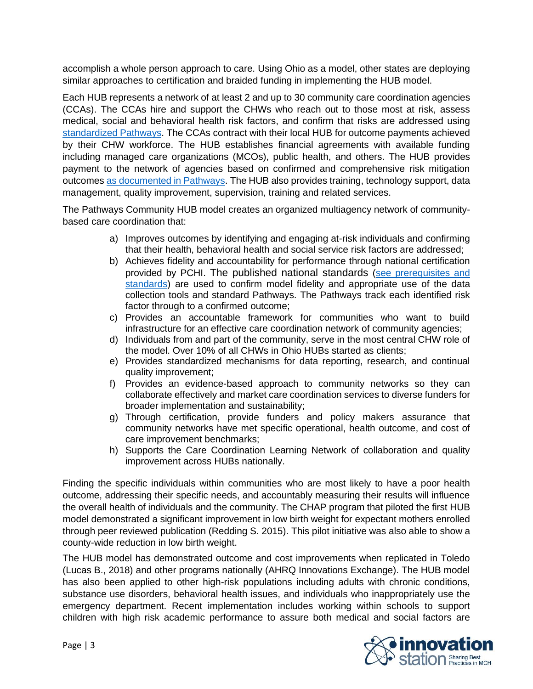accomplish a whole person approach to care. Using Ohio as a model, other states are deploying similar approaches to certification and braided funding in implementing the HUB model.

Each HUB represents a network of at least 2 and up to 30 community care coordination agencies (CCAs). The CCAs hire and support the CHWs who reach out to those most at risk, assess medical, social and behavioral health risk factors, and confirm that risks are addressed using [standardized Pathways.](https://static1.squarespace.com/static/596d61e446c3c47ac186fbe4/t/5bdc49dd03ce6403fa02ccdf/1541163488979/pathways+20+standards.pdf) The CCAs contract with their local HUB for outcome payments achieved by their CHW workforce. The HUB establishes financial agreements with available funding including managed care organizations (MCOs), public health, and others. The HUB provides payment to the network of agencies based on confirmed and comprehensive risk mitigation outcomes [as documented in Pathways.](https://static1.squarespace.com/static/596d61e446c3c47ac186fbe4/t/5bdc49dd03ce6403fa02ccdf/1541163488979/pathways+20+standards.pdf) The HUB also provides training, technology support, data management, quality improvement, supervision, training and related services.

The Pathways Community HUB model creates an organized multiagency network of communitybased care coordination that:

- a) Improves outcomes by identifying and engaging at-risk individuals and confirming that their health, behavioral health and social service risk factors are addressed;
- b) Achieves fidelity and accountability for performance through national certification provided by PCHI. The published national standards [\(see prerequisites and](https://static1.squarespace.com/static/596d61e446c3c47ac186fbe4/t/5bdc49dd03ce6403fa02ccdf/1541163488979/pathways+20+standards.pdf)  [standards\)](https://static1.squarespace.com/static/596d61e446c3c47ac186fbe4/t/5bdc49dd03ce6403fa02ccdf/1541163488979/pathways+20+standards.pdf) are used to confirm model fidelity and appropriate use of the data collection tools and standard Pathways. The Pathways track each identified risk factor through to a confirmed outcome;
- c) Provides an accountable framework for communities who want to build infrastructure for an effective care coordination network of community agencies;
- d) Individuals from and part of the community, serve in the most central CHW role of the model. Over 10% of all CHWs in Ohio HUBs started as clients;
- e) Provides standardized mechanisms for data reporting, research, and continual quality improvement;
- f) Provides an evidence-based approach to community networks so they can collaborate effectively and market care coordination services to diverse funders for broader implementation and sustainability;
- g) Through certification, provide funders and policy makers assurance that community networks have met specific operational, health outcome, and cost of care improvement benchmarks;
- h) Supports the Care Coordination Learning Network of collaboration and quality improvement across HUBs nationally.

Finding the specific individuals within communities who are most likely to have a poor health outcome, addressing their specific needs, and accountably measuring their results will influence the overall health of individuals and the community. The CHAP program that piloted the first HUB model demonstrated a significant improvement in low birth weight for expectant mothers enrolled through peer reviewed publication (Redding S. 2015). This pilot initiative was also able to show a county-wide reduction in low birth weight.

The HUB model has demonstrated outcome and cost improvements when replicated in Toledo (Lucas B., 2018) and other programs nationally (AHRQ Innovations Exchange). The HUB model has also been applied to other high-risk populations including adults with chronic conditions, substance use disorders, behavioral health issues, and individuals who inappropriately use the emergency department. Recent implementation includes working within schools to support children with high risk academic performance to assure both medical and social factors are

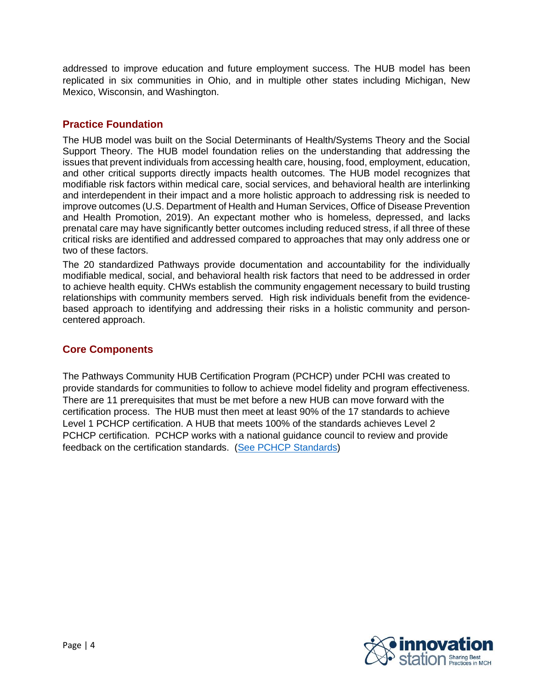addressed to improve education and future employment success. The HUB model has been replicated in six communities in Ohio, and in multiple other states including Michigan, New Mexico, Wisconsin, and Washington.

# **Practice Foundation**

The HUB model was built on the Social Determinants of Health/Systems Theory and the Social Support Theory. The HUB model foundation relies on the understanding that addressing the issues that prevent individuals from accessing health care, housing, food, employment, education, and other critical supports directly impacts health outcomes. The HUB model recognizes that modifiable risk factors within medical care, social services, and behavioral health are interlinking and interdependent in their impact and a more holistic approach to addressing risk is needed to improve outcomes (U.S. Department of Health and Human Services, Office of Disease Prevention and Health Promotion, 2019). An expectant mother who is homeless, depressed, and lacks prenatal care may have significantly better outcomes including reduced stress, if all three of these critical risks are identified and addressed compared to approaches that may only address one or two of these factors.

The 20 standardized Pathways provide documentation and accountability for the individually modifiable medical, social, and behavioral health risk factors that need to be addressed in order to achieve health equity. CHWs establish the community engagement necessary to build trusting relationships with community members served. High risk individuals benefit from the evidencebased approach to identifying and addressing their risks in a holistic community and personcentered approach.

# **Core Components**

The Pathways Community HUB Certification Program (PCHCP) under PCHI was created to provide standards for communities to follow to achieve model fidelity and program effectiveness. There are 11 prerequisites that must be met before a new HUB can move forward with the certification process. The HUB must then meet at least 90% of the 17 standards to achieve Level 1 PCHCP certification. A HUB that meets 100% of the standards achieves Level 2 PCHCP certification. PCHCP works with a national guidance council to review and provide feedback on the certification standards. (See [PCHCP Standards\)](https://pchi-hub.com/new-page-1)

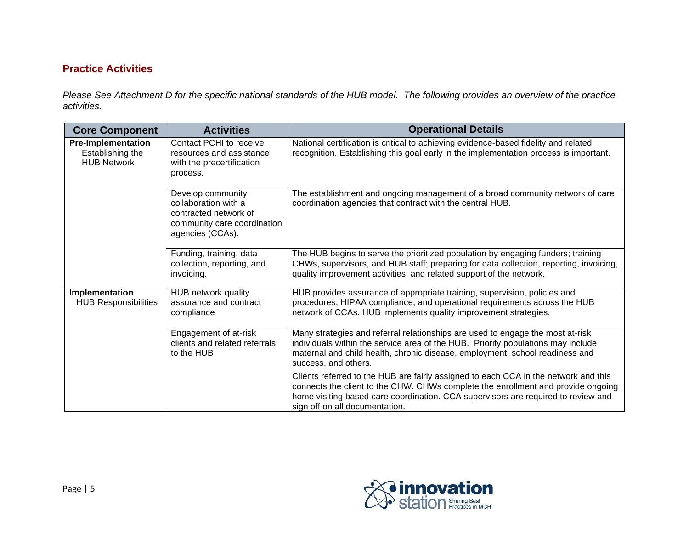# **Practice Activities**

*Please See Attachment D for the specific national standards of the HUB model. The following provides an overview of the practice activities.*

| <b>Core Component</b>                                               | <b>Activities</b>                                                                                                     | <b>Operational Details</b>                                                                                                                                                                                                                                                                     |  |  |
|---------------------------------------------------------------------|-----------------------------------------------------------------------------------------------------------------------|------------------------------------------------------------------------------------------------------------------------------------------------------------------------------------------------------------------------------------------------------------------------------------------------|--|--|
| <b>Pre-Implementation</b><br>Establishing the<br><b>HUB Network</b> | Contact PCHI to receive<br>resources and assistance<br>with the precertification<br>process.                          | National certification is critical to achieving evidence-based fidelity and related<br>recognition. Establishing this goal early in the implementation process is important.                                                                                                                   |  |  |
|                                                                     | Develop community<br>collaboration with a<br>contracted network of<br>community care coordination<br>agencies (CCAs). | The establishment and ongoing management of a broad community network of care<br>coordination agencies that contract with the central HUB.                                                                                                                                                     |  |  |
|                                                                     | Funding, training, data<br>collection, reporting, and<br>invoicing.                                                   | The HUB begins to serve the prioritized population by engaging funders; training<br>CHWs, supervisors, and HUB staff; preparing for data collection, reporting, invoicing,<br>quality improvement activities; and related support of the network.                                              |  |  |
| Implementation<br><b>HUB Responsibilities</b>                       | <b>HUB network quality</b><br>assurance and contract<br>compliance                                                    | HUB provides assurance of appropriate training, supervision, policies and<br>procedures, HIPAA compliance, and operational requirements across the HUB<br>network of CCAs. HUB implements quality improvement strategies.                                                                      |  |  |
|                                                                     | Engagement of at-risk<br>clients and related referrals<br>to the HUB                                                  | Many strategies and referral relationships are used to engage the most at-risk<br>individuals within the service area of the HUB. Priority populations may include<br>maternal and child health, chronic disease, employment, school readiness and<br>success, and others.                     |  |  |
|                                                                     |                                                                                                                       | Clients referred to the HUB are fairly assigned to each CCA in the network and this<br>connects the client to the CHW. CHWs complete the enrollment and provide ongoing<br>home visiting based care coordination. CCA supervisors are required to review and<br>sign off on all documentation. |  |  |

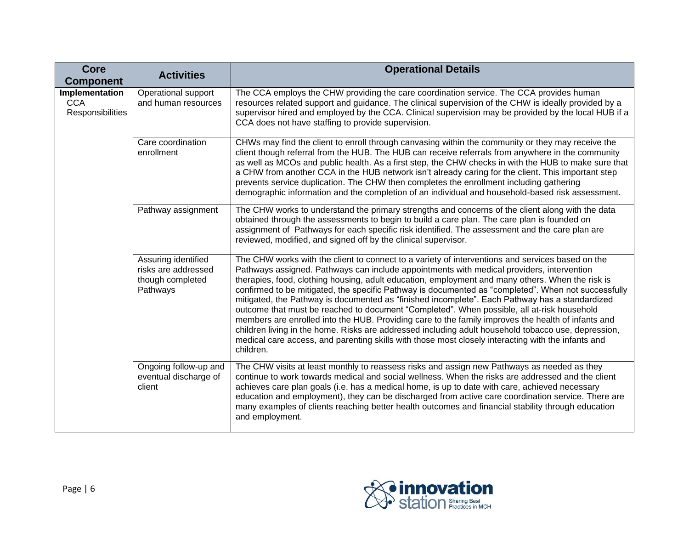| <b>Core</b><br><b>Component</b>                  | <b>Activities</b>                                                          | <b>Operational Details</b>                                                                                                                                                                                                                                                                                                                                                                                                                                                                                                                                                                                                                                                                                                                                                                                                                                                                                                               |
|--------------------------------------------------|----------------------------------------------------------------------------|------------------------------------------------------------------------------------------------------------------------------------------------------------------------------------------------------------------------------------------------------------------------------------------------------------------------------------------------------------------------------------------------------------------------------------------------------------------------------------------------------------------------------------------------------------------------------------------------------------------------------------------------------------------------------------------------------------------------------------------------------------------------------------------------------------------------------------------------------------------------------------------------------------------------------------------|
| Implementation<br><b>CCA</b><br>Responsibilities | Operational support<br>and human resources                                 | The CCA employs the CHW providing the care coordination service. The CCA provides human<br>resources related support and guidance. The clinical supervision of the CHW is ideally provided by a<br>supervisor hired and employed by the CCA. Clinical supervision may be provided by the local HUB if a<br>CCA does not have staffing to provide supervision.                                                                                                                                                                                                                                                                                                                                                                                                                                                                                                                                                                            |
|                                                  | Care coordination<br>enrollment                                            | CHWs may find the client to enroll through canvasing within the community or they may receive the<br>client though referral from the HUB. The HUB can receive referrals from anywhere in the community<br>as well as MCOs and public health. As a first step, the CHW checks in with the HUB to make sure that<br>a CHW from another CCA in the HUB network isn't already caring for the client. This important step<br>prevents service duplication. The CHW then completes the enrollment including gathering<br>demographic information and the completion of an individual and household-based risk assessment.                                                                                                                                                                                                                                                                                                                      |
|                                                  | Pathway assignment                                                         | The CHW works to understand the primary strengths and concerns of the client along with the data<br>obtained through the assessments to begin to build a care plan. The care plan is founded on<br>assignment of Pathways for each specific risk identified. The assessment and the care plan are<br>reviewed, modified, and signed off by the clinical supervisor.                                                                                                                                                                                                                                                                                                                                                                                                                                                                                                                                                                      |
|                                                  | Assuring identified<br>risks are addressed<br>though completed<br>Pathways | The CHW works with the client to connect to a variety of interventions and services based on the<br>Pathways assigned. Pathways can include appointments with medical providers, intervention<br>therapies, food, clothing housing, adult education, employment and many others. When the risk is<br>confirmed to be mitigated, the specific Pathway is documented as "completed". When not successfully<br>mitigated, the Pathway is documented as "finished incomplete". Each Pathway has a standardized<br>outcome that must be reached to document "Completed". When possible, all at-risk household<br>members are enrolled into the HUB. Providing care to the family improves the health of infants and<br>children living in the home. Risks are addressed including adult household tobacco use, depression,<br>medical care access, and parenting skills with those most closely interacting with the infants and<br>children. |
|                                                  | Ongoing follow-up and<br>eventual discharge of<br>client                   | The CHW visits at least monthly to reassess risks and assign new Pathways as needed as they<br>continue to work towards medical and social wellness. When the risks are addressed and the client<br>achieves care plan goals (i.e. has a medical home, is up to date with care, achieved necessary<br>education and employment), they can be discharged from active care coordination service. There are<br>many examples of clients reaching better health outcomes and financial stability through education<br>and employment.                                                                                                                                                                                                                                                                                                                                                                                                        |

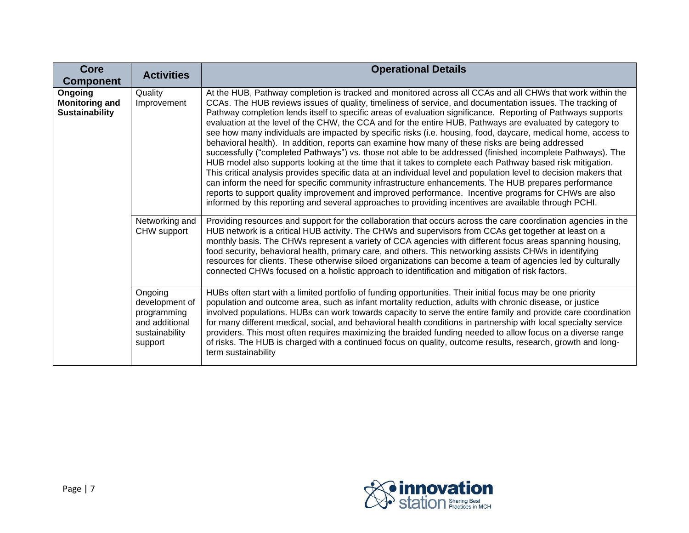| <b>Core</b><br><b>Component</b>                           | <b>Activities</b>                                                                       | <b>Operational Details</b>                                                                                                                                                                                                                                                                                                                                                                                                                                                                                                                                                                                                                                                                                                                                                                                                                                                                                                                                                                                                                                                                                                                                                                                                                                                                                                                         |
|-----------------------------------------------------------|-----------------------------------------------------------------------------------------|----------------------------------------------------------------------------------------------------------------------------------------------------------------------------------------------------------------------------------------------------------------------------------------------------------------------------------------------------------------------------------------------------------------------------------------------------------------------------------------------------------------------------------------------------------------------------------------------------------------------------------------------------------------------------------------------------------------------------------------------------------------------------------------------------------------------------------------------------------------------------------------------------------------------------------------------------------------------------------------------------------------------------------------------------------------------------------------------------------------------------------------------------------------------------------------------------------------------------------------------------------------------------------------------------------------------------------------------------|
| Ongoing<br><b>Monitoring and</b><br><b>Sustainability</b> | Quality<br>Improvement                                                                  | At the HUB, Pathway completion is tracked and monitored across all CCAs and all CHWs that work within the<br>CCAs. The HUB reviews issues of quality, timeliness of service, and documentation issues. The tracking of<br>Pathway completion lends itself to specific areas of evaluation significance. Reporting of Pathways supports<br>evaluation at the level of the CHW, the CCA and for the entire HUB. Pathways are evaluated by category to<br>see how many individuals are impacted by specific risks (i.e. housing, food, daycare, medical home, access to<br>behavioral health). In addition, reports can examine how many of these risks are being addressed<br>successfully ("completed Pathways") vs. those not able to be addressed (finished incomplete Pathways). The<br>HUB model also supports looking at the time that it takes to complete each Pathway based risk mitigation.<br>This critical analysis provides specific data at an individual level and population level to decision makers that<br>can inform the need for specific community infrastructure enhancements. The HUB prepares performance<br>reports to support quality improvement and improved performance. Incentive programs for CHWs are also<br>informed by this reporting and several approaches to providing incentives are available through PCHI. |
|                                                           | Networking and<br>CHW support                                                           | Providing resources and support for the collaboration that occurs across the care coordination agencies in the<br>HUB network is a critical HUB activity. The CHWs and supervisors from CCAs get together at least on a<br>monthly basis. The CHWs represent a variety of CCA agencies with different focus areas spanning housing,<br>food security, behavioral health, primary care, and others. This networking assists CHWs in identifying<br>resources for clients. These otherwise siloed organizations can become a team of agencies led by culturally<br>connected CHWs focused on a holistic approach to identification and mitigation of risk factors.                                                                                                                                                                                                                                                                                                                                                                                                                                                                                                                                                                                                                                                                                   |
|                                                           | Ongoing<br>development of<br>programming<br>and additional<br>sustainability<br>support | HUBs often start with a limited portfolio of funding opportunities. Their initial focus may be one priority<br>population and outcome area, such as infant mortality reduction, adults with chronic disease, or justice<br>involved populations. HUBs can work towards capacity to serve the entire family and provide care coordination<br>for many different medical, social, and behavioral health conditions in partnership with local specialty service<br>providers. This most often requires maximizing the braided funding needed to allow focus on a diverse range<br>of risks. The HUB is charged with a continued focus on quality, outcome results, research, growth and long-<br>term sustainability                                                                                                                                                                                                                                                                                                                                                                                                                                                                                                                                                                                                                                  |

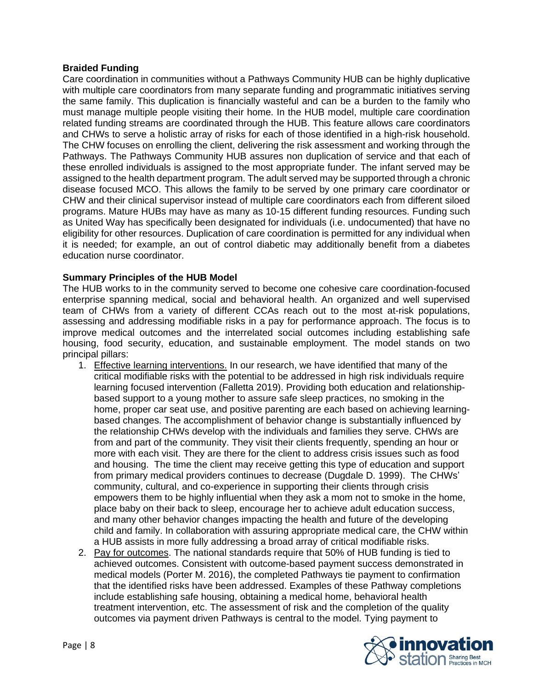#### **Braided Funding**

Care coordination in communities without a Pathways Community HUB can be highly duplicative with multiple care coordinators from many separate funding and programmatic initiatives serving the same family. This duplication is financially wasteful and can be a burden to the family who must manage multiple people visiting their home. In the HUB model, multiple care coordination related funding streams are coordinated through the HUB. This feature allows care coordinators and CHWs to serve a holistic array of risks for each of those identified in a high-risk household. The CHW focuses on enrolling the client, delivering the risk assessment and working through the Pathways. The Pathways Community HUB assures non duplication of service and that each of these enrolled individuals is assigned to the most appropriate funder. The infant served may be assigned to the health department program. The adult served may be supported through a chronic disease focused MCO. This allows the family to be served by one primary care coordinator or CHW and their clinical supervisor instead of multiple care coordinators each from different siloed programs. Mature HUBs may have as many as 10-15 different funding resources. Funding such as United Way has specifically been designated for individuals (i.e. undocumented) that have no eligibility for other resources. Duplication of care coordination is permitted for any individual when it is needed; for example, an out of control diabetic may additionally benefit from a diabetes education nurse coordinator.

#### **Summary Principles of the HUB Model**

The HUB works to in the community served to become one cohesive care coordination-focused enterprise spanning medical, social and behavioral health. An organized and well supervised team of CHWs from a variety of different CCAs reach out to the most at-risk populations, assessing and addressing modifiable risks in a pay for performance approach. The focus is to improve medical outcomes and the interrelated social outcomes including establishing safe housing, food security, education, and sustainable employment. The model stands on two principal pillars:

- 1. Effective learning interventions. In our research, we have identified that many of the critical modifiable risks with the potential to be addressed in high risk individuals require learning focused intervention (Falletta 2019). Providing both education and relationshipbased support to a young mother to assure safe sleep practices, no smoking in the home, proper car seat use, and positive parenting are each based on achieving learningbased changes. The accomplishment of behavior change is substantially influenced by the relationship CHWs develop with the individuals and families they serve. CHWs are from and part of the community. They visit their clients frequently, spending an hour or more with each visit. They are there for the client to address crisis issues such as food and housing. The time the client may receive getting this type of education and support from primary medical providers continues to decrease (Dugdale D. 1999). The CHWs' community, cultural, and co-experience in supporting their clients through crisis empowers them to be highly influential when they ask a mom not to smoke in the home, place baby on their back to sleep, encourage her to achieve adult education success, and many other behavior changes impacting the health and future of the developing child and family. In collaboration with assuring appropriate medical care, the CHW within a HUB assists in more fully addressing a broad array of critical modifiable risks.
- 2. Pay for outcomes. The national standards require that 50% of HUB funding is tied to achieved outcomes. Consistent with outcome-based payment success demonstrated in medical models (Porter M. 2016), the completed Pathways tie payment to confirmation that the identified risks have been addressed. Examples of these Pathway completions include establishing safe housing, obtaining a medical home, behavioral health treatment intervention, etc. The assessment of risk and the completion of the quality outcomes via payment driven Pathways is central to the model. Tying payment to

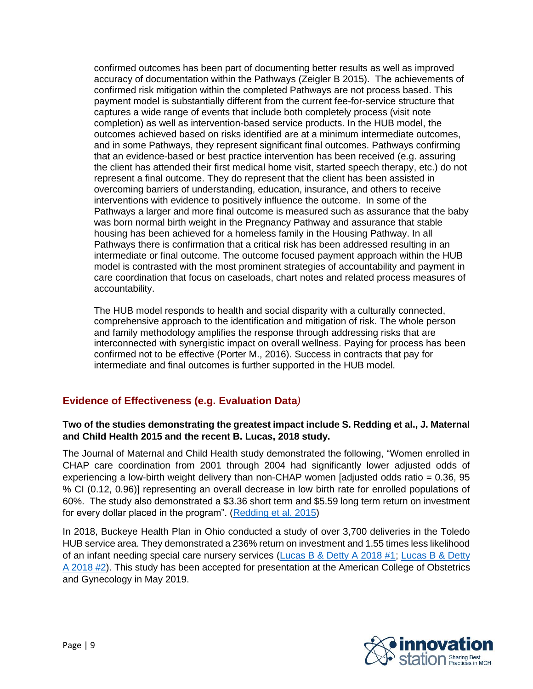confirmed outcomes has been part of documenting better results as well as improved accuracy of documentation within the Pathways (Zeigler B 2015). The achievements of confirmed risk mitigation within the completed Pathways are not process based. This payment model is substantially different from the current fee-for-service structure that captures a wide range of events that include both completely process (visit note completion) as well as intervention-based service products. In the HUB model, the outcomes achieved based on risks identified are at a minimum intermediate outcomes, and in some Pathways, they represent significant final outcomes. Pathways confirming that an evidence-based or best practice intervention has been received (e.g. assuring the client has attended their first medical home visit, started speech therapy, etc.) do not represent a final outcome. They do represent that the client has been assisted in overcoming barriers of understanding, education, insurance, and others to receive interventions with evidence to positively influence the outcome. In some of the Pathways a larger and more final outcome is measured such as assurance that the baby was born normal birth weight in the Pregnancy Pathway and assurance that stable housing has been achieved for a homeless family in the Housing Pathway. In all Pathways there is confirmation that a critical risk has been addressed resulting in an intermediate or final outcome. The outcome focused payment approach within the HUB model is contrasted with the most prominent strategies of accountability and payment in care coordination that focus on caseloads, chart notes and related process measures of accountability.

The HUB model responds to health and social disparity with a culturally connected, comprehensive approach to the identification and mitigation of risk. The whole person and family methodology amplifies the response through addressing risks that are interconnected with synergistic impact on overall wellness. Paying for process has been confirmed not to be effective (Porter M., 2016). Success in contracts that pay for intermediate and final outcomes is further supported in the HUB model.

# **Evidence of Effectiveness (e.g. Evaluation Data***)*

## **Two of the studies demonstrating the greatest impact include S. Redding et al., J. Maternal and Child Health 2015 and the recent B. Lucas, 2018 study.**

The Journal of Maternal and Child Health study demonstrated the following, "Women enrolled in CHAP care coordination from 2001 through 2004 had significantly lower adjusted odds of experiencing a low-birth weight delivery than non-CHAP women [adjusted odds ratio = 0.36, 95 % CI (0.12, 0.96)] representing an overall decrease in low birth rate for enrolled populations of 60%. The study also demonstrated a \$3.36 short term and \$5.59 long term return on investment for every dollar placed in the program". [\(Redding et al. 2015\)](https://link.springer.com/article/10.1007%2Fs10995-014-1554-4)

In 2018, Buckeye Health Plan in Ohio conducted a study of over 3,700 deliveries in the Toledo HUB service area. They demonstrated a 236% return on investment and 1.55 times less likelihood of an infant needing special care nursery services [\(Lucas B & Detty A 2018 #1;](https://static1.squarespace.com/static/596d61e446c3c47ac186fbe4/t/5c4093f5bba223277c03d0ef/1547736057308/Lower+1st+Year+of+Life+Costs+for+Babies+through+Health+Plan+and+Community+HUB+Partnership.pdf) [Lucas B & Detty](https://static1.squarespace.com/static/596d61e446c3c47ac186fbe4/t/5c40938e42bfc1143615d86c/1547735968433/Improved+Birth+Outcomes+through+Health+Plan+and+Community+HUB+Partnership.pdf)  [A 2018 #2\)](https://static1.squarespace.com/static/596d61e446c3c47ac186fbe4/t/5c40938e42bfc1143615d86c/1547735968433/Improved+Birth+Outcomes+through+Health+Plan+and+Community+HUB+Partnership.pdf). This study has been accepted for presentation at the American College of Obstetrics and Gynecology in May 2019.

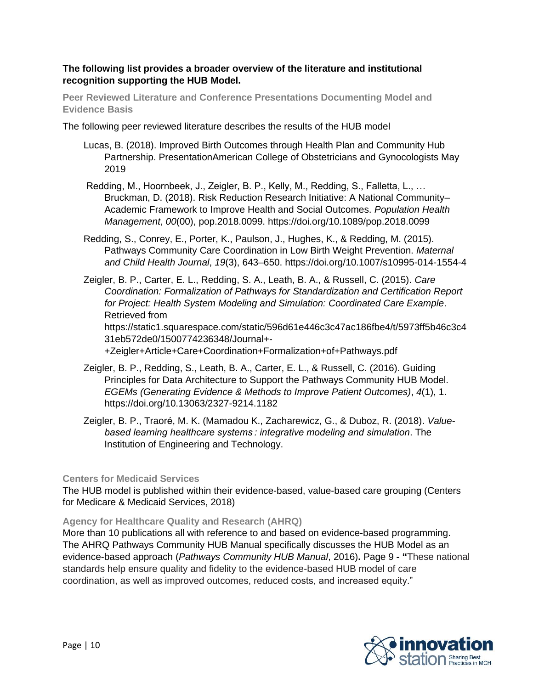#### **The following list provides a broader overview of the literature and institutional recognition supporting the HUB Model.**

**Peer Reviewed Literature and Conference Presentations Documenting Model and Evidence Basis**

The following peer reviewed literature describes the results of the HUB model

- Lucas, B. (2018). Improved Birth Outcomes through Health Plan and Community Hub Partnership. PresentationAmerican College of Obstetricians and Gynocologists May 2019
- Redding, M., Hoornbeek, J., Zeigler, B. P., Kelly, M., Redding, S., Falletta, L., … Bruckman, D. (2018). Risk Reduction Research Initiative: A National Community– Academic Framework to Improve Health and Social Outcomes. *Population Health Management*, *00*(00), pop.2018.0099. https://doi.org/10.1089/pop.2018.0099
- Redding, S., Conrey, E., Porter, K., Paulson, J., Hughes, K., & Redding, M. (2015). Pathways Community Care Coordination in Low Birth Weight Prevention. *Maternal and Child Health Journal*, *19*(3), 643–650. https://doi.org/10.1007/s10995-014-1554-4

Zeigler, B. P., Carter, E. L., Redding, S. A., Leath, B. A., & Russell, C. (2015). *Care Coordination: Formalization of Pathways for Standardization and Certification Report for Project: Health System Modeling and Simulation: Coordinated Care Example*. Retrieved from https://static1.squarespace.com/static/596d61e446c3c47ac186fbe4/t/5973ff5b46c3c4 31eb572de0/1500774236348/Journal+-

+Zeigler+Article+Care+Coordination+Formalization+of+Pathways.pdf

- Zeigler, B. P., Redding, S., Leath, B. A., Carter, E. L., & Russell, C. (2016). Guiding Principles for Data Architecture to Support the Pathways Community HUB Model. *EGEMs (Generating Evidence & Methods to Improve Patient Outcomes)*, *4*(1), 1. https://doi.org/10.13063/2327-9214.1182
- Zeigler, B. P., Traoré, M. K. (Mamadou K., Zacharewicz, G., & Duboz, R. (2018). *Valuebased learning healthcare systems : integrative modeling and simulation*. The Institution of Engineering and Technology.

#### **Centers for Medicaid Services**

The HUB model is published within their evidence-based, value-based care grouping (Centers for Medicare & Medicaid Services, 2018)

#### **Agency for Healthcare Quality and Research (AHRQ)**

More than 10 publications all with reference to and based on evidence-based programming. The AHRQ Pathways Community HUB Manual specifically discusses the HUB Model as an evidence-based approach (*Pathways Community HUB Manual*, 2016)**.** Page 9 **- "**These national standards help ensure quality and fidelity to the evidence-based HUB model of care coordination, as well as improved outcomes, reduced costs, and increased equity."

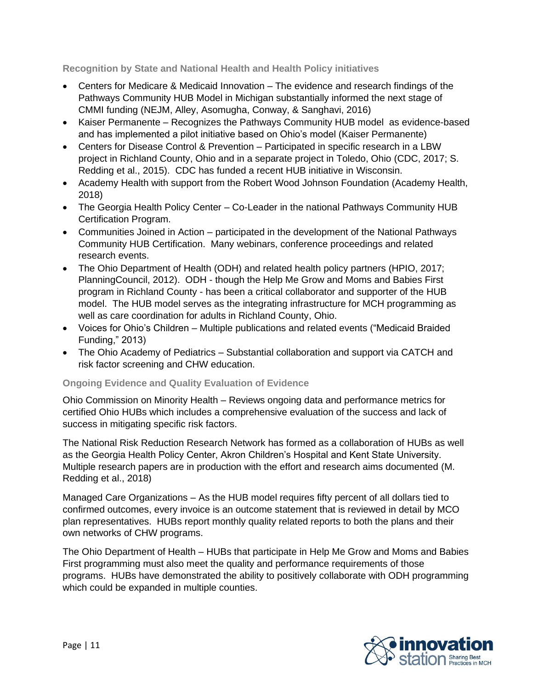**Recognition by State and National Health and Health Policy initiatives**

- Centers for Medicare & Medicaid Innovation The evidence and research findings of the Pathways Community HUB Model in Michigan substantially informed the next stage of CMMI funding (NEJM, Alley, Asomugha, Conway, & Sanghavi, 2016)
- Kaiser Permanente Recognizes the Pathways Community HUB model as evidence-based and has implemented a pilot initiative based on Ohio's model (Kaiser Permanente)
- Centers for Disease Control & Prevention Participated in specific research in a LBW project in Richland County, Ohio and in a separate project in Toledo, Ohio (CDC, 2017; S. Redding et al., 2015). CDC has funded a recent HUB initiative in Wisconsin.
- Academy Health with support from the Robert Wood Johnson Foundation (Academy Health, 2018)
- The Georgia Health Policy Center Co-Leader in the national Pathways Community HUB Certification Program.
- Communities Joined in Action participated in the development of the National Pathways Community HUB Certification. Many webinars, conference proceedings and related research events.
- The Ohio Department of Health (ODH) and related health policy partners (HPIO, 2017; PlanningCouncil, 2012). ODH - though the Help Me Grow and Moms and Babies First program in Richland County - has been a critical collaborator and supporter of the HUB model. The HUB model serves as the integrating infrastructure for MCH programming as well as care coordination for adults in Richland County, Ohio.
- Voices for Ohio's Children Multiple publications and related events ("Medicaid Braided Funding," 2013)
- The Ohio Academy of Pediatrics Substantial collaboration and support via CATCH and risk factor screening and CHW education.

# **Ongoing Evidence and Quality Evaluation of Evidence**

Ohio Commission on Minority Health – Reviews ongoing data and performance metrics for certified Ohio HUBs which includes a comprehensive evaluation of the success and lack of success in mitigating specific risk factors.

The National Risk Reduction Research Network has formed as a collaboration of HUBs as well as the Georgia Health Policy Center, Akron Children's Hospital and Kent State University. Multiple research papers are in production with the effort and research aims documented (M. Redding et al., 2018)

Managed Care Organizations – As the HUB model requires fifty percent of all dollars tied to confirmed outcomes, every invoice is an outcome statement that is reviewed in detail by MCO plan representatives. HUBs report monthly quality related reports to both the plans and their own networks of CHW programs.

The Ohio Department of Health – HUBs that participate in Help Me Grow and Moms and Babies First programming must also meet the quality and performance requirements of those programs. HUBs have demonstrated the ability to positively collaborate with ODH programming which could be expanded in multiple counties.

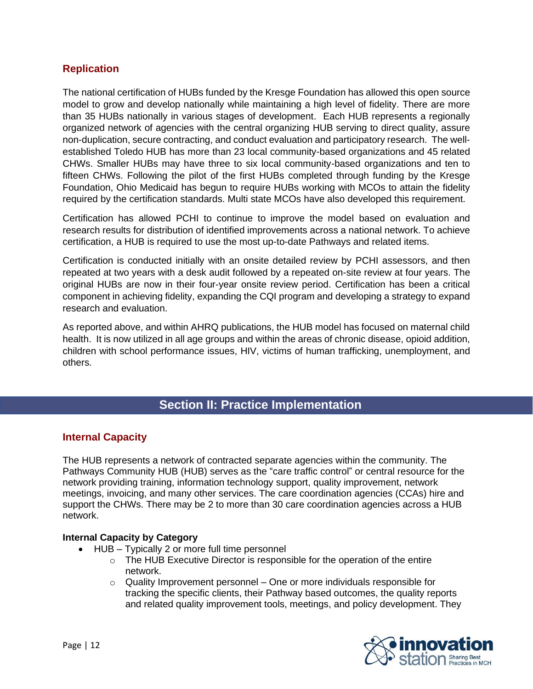# **Replication**

The national certification of HUBs funded by the Kresge Foundation has allowed this open source model to grow and develop nationally while maintaining a high level of fidelity. There are more than 35 HUBs nationally in various stages of development. Each HUB represents a regionally organized network of agencies with the central organizing HUB serving to direct quality, assure non-duplication, secure contracting, and conduct evaluation and participatory research. The wellestablished Toledo HUB has more than 23 local community-based organizations and 45 related CHWs. Smaller HUBs may have three to six local community-based organizations and ten to fifteen CHWs. Following the pilot of the first HUBs completed through funding by the Kresge Foundation, Ohio Medicaid has begun to require HUBs working with MCOs to attain the fidelity required by the certification standards. Multi state MCOs have also developed this requirement.

Certification has allowed PCHI to continue to improve the model based on evaluation and research results for distribution of identified improvements across a national network. To achieve certification, a HUB is required to use the most up-to-date Pathways and related items.

Certification is conducted initially with an onsite detailed review by PCHI assessors, and then repeated at two years with a desk audit followed by a repeated on-site review at four years. The original HUBs are now in their four-year onsite review period. Certification has been a critical component in achieving fidelity, expanding the CQI program and developing a strategy to expand research and evaluation.

As reported above, and within AHRQ publications, the HUB model has focused on maternal child health. It is now utilized in all age groups and within the areas of chronic disease, opioid addition, children with school performance issues, HIV, victims of human trafficking, unemployment, and others.

# **Section II: Practice Implementation**

# **Internal Capacity**

The HUB represents a network of contracted separate agencies within the community. The Pathways Community HUB (HUB) serves as the "care traffic control" or central resource for the network providing training, information technology support, quality improvement, network meetings, invoicing, and many other services. The care coordination agencies (CCAs) hire and support the CHWs. There may be 2 to more than 30 care coordination agencies across a HUB network.

#### **Internal Capacity by Category**

- HUB Typically 2 or more full time personnel
	- o The HUB Executive Director is responsible for the operation of the entire network.
	- $\circ$  Quality Improvement personnel One or more individuals responsible for tracking the specific clients, their Pathway based outcomes, the quality reports and related quality improvement tools, meetings, and policy development. They

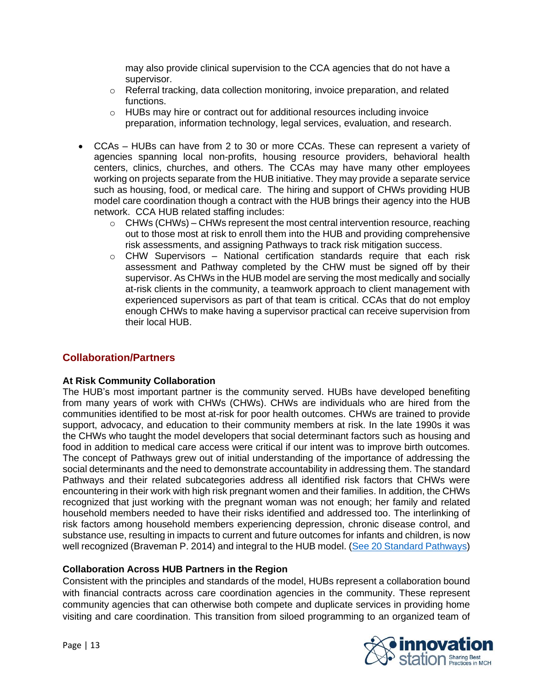may also provide clinical supervision to the CCA agencies that do not have a supervisor.

- o Referral tracking, data collection monitoring, invoice preparation, and related functions.
- o HUBs may hire or contract out for additional resources including invoice preparation, information technology, legal services, evaluation, and research.
- CCAs HUBs can have from 2 to 30 or more CCAs. These can represent a variety of agencies spanning local non-profits, housing resource providers, behavioral health centers, clinics, churches, and others. The CCAs may have many other employees working on projects separate from the HUB initiative. They may provide a separate service such as housing, food, or medical care. The hiring and support of CHWs providing HUB model care coordination though a contract with the HUB brings their agency into the HUB network. CCA HUB related staffing includes:
	- $\circ$  CHWs (CHWs) CHWs represent the most central intervention resource, reaching out to those most at risk to enroll them into the HUB and providing comprehensive risk assessments, and assigning Pathways to track risk mitigation success.
	- $\circ$  CHW Supervisors National certification standards require that each risk assessment and Pathway completed by the CHW must be signed off by their supervisor. As CHWs in the HUB model are serving the most medically and socially at-risk clients in the community, a teamwork approach to client management with experienced supervisors as part of that team is critical. CCAs that do not employ enough CHWs to make having a supervisor practical can receive supervision from their local HUB.

# **Collaboration/Partners**

#### **At Risk Community Collaboration**

The HUB's most important partner is the community served. HUBs have developed benefiting from many years of work with CHWs (CHWs). CHWs are individuals who are hired from the communities identified to be most at-risk for poor health outcomes. CHWs are trained to provide support, advocacy, and education to their community members at risk. In the late 1990s it was the CHWs who taught the model developers that social determinant factors such as housing and food in addition to medical care access were critical if our intent was to improve birth outcomes. The concept of Pathways grew out of initial understanding of the importance of addressing the social determinants and the need to demonstrate accountability in addressing them. The standard Pathways and their related subcategories address all identified risk factors that CHWs were encountering in their work with high risk pregnant women and their families. In addition, the CHWs recognized that just working with the pregnant woman was not enough; her family and related household members needed to have their risks identified and addressed too. The interlinking of risk factors among household members experiencing depression, chronic disease control, and substance use, resulting in impacts to current and future outcomes for infants and children, is now well recognized (Braveman P. 2014) and integral to the HUB model. (See [20 Standard Pathways\)](https://static1.squarespace.com/static/596d61e446c3c47ac186fbe4/t/5bdc49dd03ce6403fa02ccdf/1541163488979/pathways+20+standards.pdf)

#### **Collaboration Across HUB Partners in the Region**

Consistent with the principles and standards of the model, HUBs represent a collaboration bound with financial contracts across care coordination agencies in the community. These represent community agencies that can otherwise both compete and duplicate services in providing home visiting and care coordination. This transition from siloed programming to an organized team of

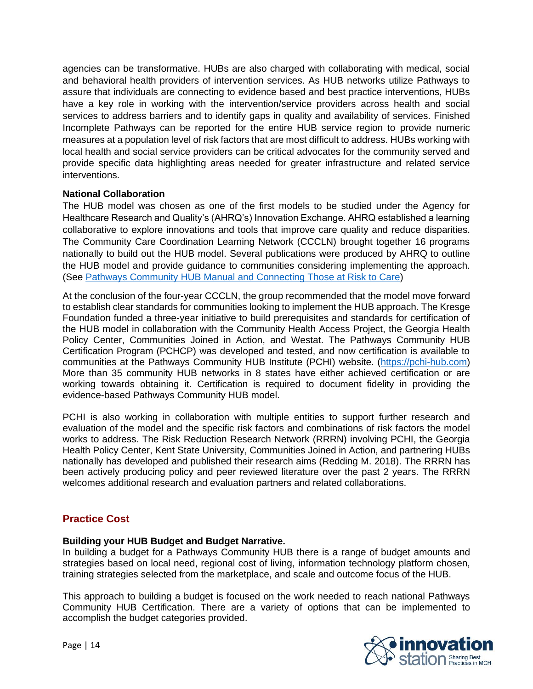agencies can be transformative. HUBs are also charged with collaborating with medical, social and behavioral health providers of intervention services. As HUB networks utilize Pathways to assure that individuals are connecting to evidence based and best practice interventions, HUBs have a key role in working with the intervention/service providers across health and social services to address barriers and to identify gaps in quality and availability of services. Finished Incomplete Pathways can be reported for the entire HUB service region to provide numeric measures at a population level of risk factors that are most difficult to address. HUBs working with local health and social service providers can be critical advocates for the community served and provide specific data highlighting areas needed for greater infrastructure and related service interventions.

#### **National Collaboration**

The HUB model was chosen as one of the first models to be studied under the Agency for Healthcare Research and Quality's (AHRQ's) Innovation Exchange. AHRQ established a learning collaborative to explore innovations and tools that improve care quality and reduce disparities. The Community Care Coordination Learning Network (CCCLN) brought together 16 programs nationally to build out the HUB model. Several publications were produced by AHRQ to outline the HUB model and provide guidance to communities considering implementing the approach. (See [Pathways Community HUB Manual](https://innovations.ahrq.gov/sites/default/files/Guides/CommunityHubManual.pdf) and Connecting Those at Risk to Care)

At the conclusion of the four-year CCCLN, the group recommended that the model move forward to establish clear standards for communities looking to implement the HUB approach. The Kresge Foundation funded a three-year initiative to build prerequisites and standards for certification of the HUB model in collaboration with the Community Health Access Project, the Georgia Health Policy Center, Communities Joined in Action, and Westat. The Pathways Community HUB Certification Program (PCHCP) was developed and tested, and now certification is available to communities at the Pathways Community HUB Institute (PCHI) website. [\(https://pchi-hub.com\)](https://pchi-hub.com/) More than 35 community HUB networks in 8 states have either achieved certification or are working towards obtaining it. Certification is required to document fidelity in providing the evidence-based Pathways Community HUB model.

PCHI is also working in collaboration with multiple entities to support further research and evaluation of the model and the specific risk factors and combinations of risk factors the model works to address. The Risk Reduction Research Network (RRRN) involving PCHI, the Georgia Health Policy Center, Kent State University, Communities Joined in Action, and partnering HUBs nationally has developed and published their research aims (Redding M. 2018). The RRRN has been actively producing policy and peer reviewed literature over the past 2 years. The RRRN welcomes additional research and evaluation partners and related collaborations.

# **Practice Cost**

#### **Building your HUB Budget and Budget Narrative.**

In building a budget for a Pathways Community HUB there is a range of budget amounts and strategies based on local need, regional cost of living, information technology platform chosen, training strategies selected from the marketplace, and scale and outcome focus of the HUB.

This approach to building a budget is focused on the work needed to reach national Pathways Community HUB Certification. There are a variety of options that can be implemented to accomplish the budget categories provided.

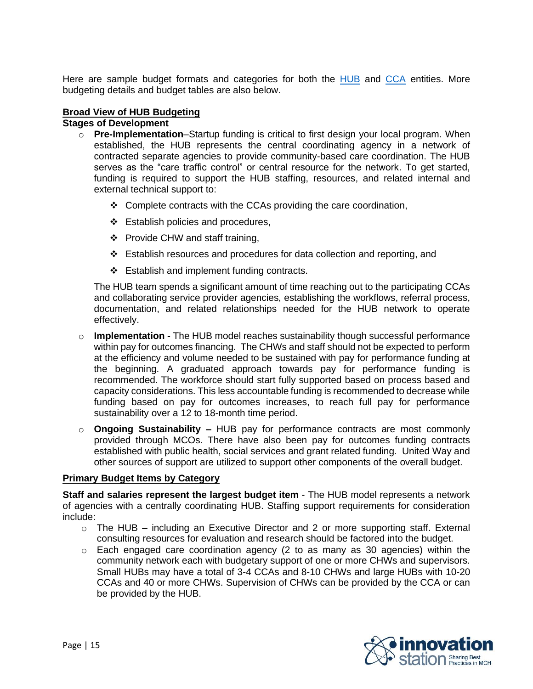Here are sample budget formats and categories for both the [HUB](http://www.amchp.org/programsandtopics/BestPractices/InnovationStation/Documents/HUB%20Budget.pdf) and [CCA](http://www.amchp.org/programsandtopics/BestPractices/InnovationStation/Documents/CCA%20Budget.pdf) entities. More budgeting details and budget tables are also below.

#### **Broad View of HUB Budgeting**

#### **Stages of Development**

- o **Pre-Implementation**–Startup funding is critical to first design your local program. When established, the HUB represents the central coordinating agency in a network of contracted separate agencies to provide community-based care coordination. The HUB serves as the "care traffic control" or central resource for the network. To get started, funding is required to support the HUB staffing, resources, and related internal and external technical support to:
	- ❖ Complete contracts with the CCAs providing the care coordination,
	- ❖ Establish policies and procedures,
	- ❖ Provide CHW and staff training,
	- ❖ Establish resources and procedures for data collection and reporting, and
	- ❖ Establish and implement funding contracts.

The HUB team spends a significant amount of time reaching out to the participating CCAs and collaborating service provider agencies, establishing the workflows, referral process, documentation, and related relationships needed for the HUB network to operate effectively.

- o **Implementation -** The HUB model reaches sustainability though successful performance within pay for outcomes financing. The CHWs and staff should not be expected to perform at the efficiency and volume needed to be sustained with pay for performance funding at the beginning. A graduated approach towards pay for performance funding is recommended. The workforce should start fully supported based on process based and capacity considerations. This less accountable funding is recommended to decrease while funding based on pay for outcomes increases, to reach full pay for performance sustainability over a 12 to 18-month time period.
- o **Ongoing Sustainability –** HUB pay for performance contracts are most commonly provided through MCOs. There have also been pay for outcomes funding contracts established with public health, social services and grant related funding. United Way and other sources of support are utilized to support other components of the overall budget.

#### **Primary Budget Items by Category**

**Staff and salaries represent the largest budget item** - The HUB model represents a network of agencies with a centrally coordinating HUB. Staffing support requirements for consideration include:

- o The HUB including an Executive Director and 2 or more supporting staff. External consulting resources for evaluation and research should be factored into the budget.
- o Each engaged care coordination agency (2 to as many as 30 agencies) within the community network each with budgetary support of one or more CHWs and supervisors. Small HUBs may have a total of 3-4 CCAs and 8-10 CHWs and large HUBs with 10-20 CCAs and 40 or more CHWs. Supervision of CHWs can be provided by the CCA or can be provided by the HUB.

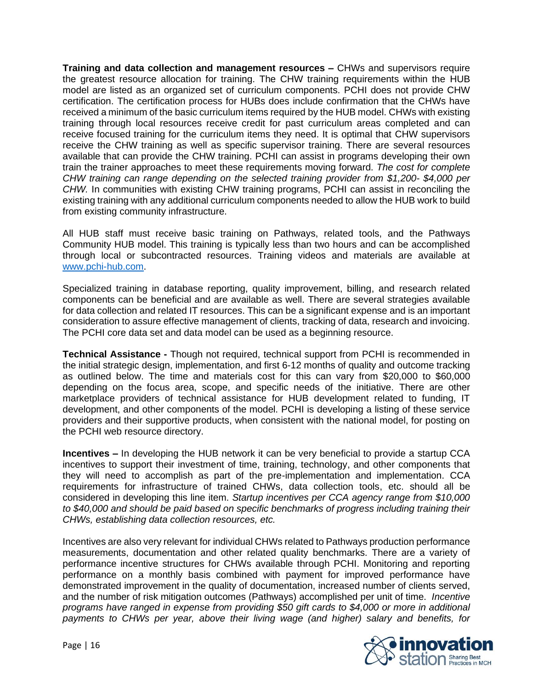**Training and data collection and management resources –** CHWs and supervisors require the greatest resource allocation for training. The CHW training requirements within the HUB model are listed as an organized set of curriculum components. PCHI does not provide CHW certification. The certification process for HUBs does include confirmation that the CHWs have received a minimum of the basic curriculum items required by the HUB model. CHWs with existing training through local resources receive credit for past curriculum areas completed and can receive focused training for the curriculum items they need. It is optimal that CHW supervisors receive the CHW training as well as specific supervisor training. There are several resources available that can provide the CHW training. PCHI can assist in programs developing their own train the trainer approaches to meet these requirements moving forward. *The cost for complete CHW training can range depending on the selected training provider from \$1,200- \$4,000 per CHW.* In communities with existing CHW training programs, PCHI can assist in reconciling the existing training with any additional curriculum components needed to allow the HUB work to build from existing community infrastructure.

All HUB staff must receive basic training on Pathways, related tools, and the Pathways Community HUB model. This training is typically less than two hours and can be accomplished through local or subcontracted resources. Training videos and materials are available at [www.pchi-hub.com.](http://www.pchi-hub.com/)

Specialized training in database reporting, quality improvement, billing, and research related components can be beneficial and are available as well. There are several strategies available for data collection and related IT resources. This can be a significant expense and is an important consideration to assure effective management of clients, tracking of data, research and invoicing. The PCHI core data set and data model can be used as a beginning resource.

**Technical Assistance -** Though not required, technical support from PCHI is recommended in the initial strategic design, implementation, and first 6-12 months of quality and outcome tracking as outlined below. The time and materials cost for this can vary from \$20,000 to \$60,000 depending on the focus area, scope, and specific needs of the initiative. There are other marketplace providers of technical assistance for HUB development related to funding, IT development, and other components of the model. PCHI is developing a listing of these service providers and their supportive products, when consistent with the national model, for posting on the PCHI web resource directory.

**Incentives –** In developing the HUB network it can be very beneficial to provide a startup CCA incentives to support their investment of time, training, technology, and other components that they will need to accomplish as part of the pre-implementation and implementation. CCA requirements for infrastructure of trained CHWs, data collection tools, etc. should all be considered in developing this line item. *Startup incentives per CCA agency range from \$10,000 to \$40,000 and should be paid based on specific benchmarks of progress including training their CHWs, establishing data collection resources, etc.* 

Incentives are also very relevant for individual CHWs related to Pathways production performance measurements, documentation and other related quality benchmarks. There are a variety of performance incentive structures for CHWs available through PCHI. Monitoring and reporting performance on a monthly basis combined with payment for improved performance have demonstrated improvement in the quality of documentation, increased number of clients served, and the number of risk mitigation outcomes (Pathways) accomplished per unit of time. *Incentive programs have ranged in expense from providing \$50 gift cards to \$4,000 or more in additional payments to CHWs per year, above their living wage (and higher) salary and benefits, for* 

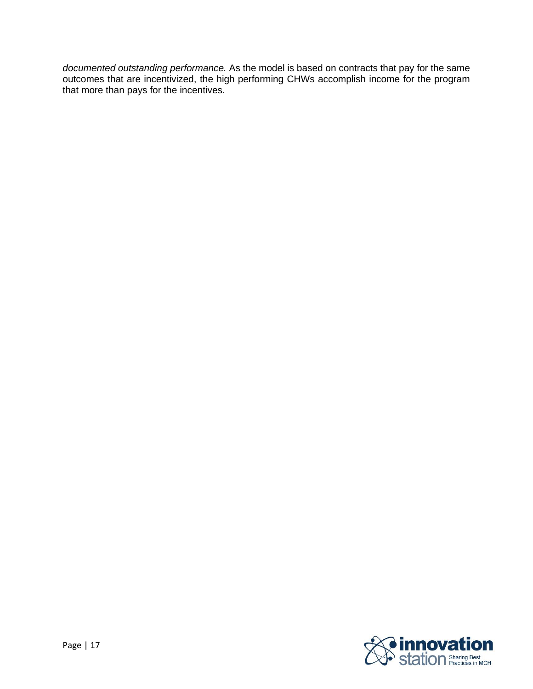*documented outstanding performance.* As the model is based on contracts that pay for the same outcomes that are incentivized, the high performing CHWs accomplish income for the program that more than pays for the incentives.

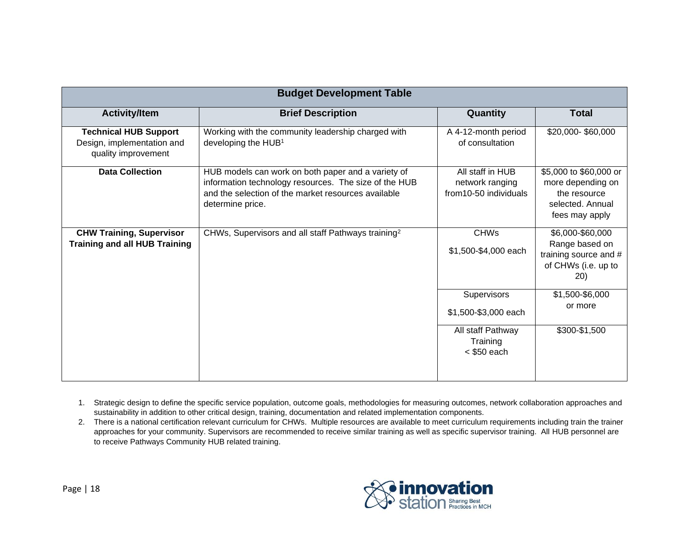| <b>Budget Development Table</b>                                                   |                                                                                                                                                                                        |                                                              |                                                                                                   |
|-----------------------------------------------------------------------------------|----------------------------------------------------------------------------------------------------------------------------------------------------------------------------------------|--------------------------------------------------------------|---------------------------------------------------------------------------------------------------|
| <b>Activity/Item</b>                                                              | <b>Brief Description</b>                                                                                                                                                               | Quantity                                                     | <b>Total</b>                                                                                      |
| <b>Technical HUB Support</b><br>Design, implementation and<br>quality improvement | Working with the community leadership charged with<br>developing the HUB <sup>1</sup>                                                                                                  | A 4-12-month period<br>of consultation                       | \$20,000-\$60,000                                                                                 |
| <b>Data Collection</b>                                                            | HUB models can work on both paper and a variety of<br>information technology resources. The size of the HUB<br>and the selection of the market resources available<br>determine price. | All staff in HUB<br>network ranging<br>from10-50 individuals | \$5,000 to \$60,000 or<br>more depending on<br>the resource<br>selected. Annual<br>fees may apply |
| <b>CHW Training, Supervisor</b><br><b>Training and all HUB Training</b>           | CHWs, Supervisors and all staff Pathways training <sup>2</sup>                                                                                                                         | <b>CHWs</b><br>\$1,500-\$4,000 each                          | \$6,000-\$60,000<br>Range based on<br>training source and #<br>of CHWs (i.e. up to<br>20)         |
|                                                                                   |                                                                                                                                                                                        | Supervisors<br>\$1,500-\$3,000 each                          | \$1,500-\$6,000<br>or more                                                                        |
|                                                                                   |                                                                                                                                                                                        | All staff Pathway<br>Training<br>$<$ \$50 each               | \$300-\$1,500                                                                                     |

- 1. Strategic design to define the specific service population, outcome goals, methodologies for measuring outcomes, network collaboration approaches and sustainability in addition to other critical design, training, documentation and related implementation components.
- 2. There is a national certification relevant curriculum for CHWs. Multiple resources are available to meet curriculum requirements including train the trainer approaches for your community. Supervisors are recommended to receive similar training as well as specific supervisor training. All HUB personnel are to receive Pathways Community HUB related training.

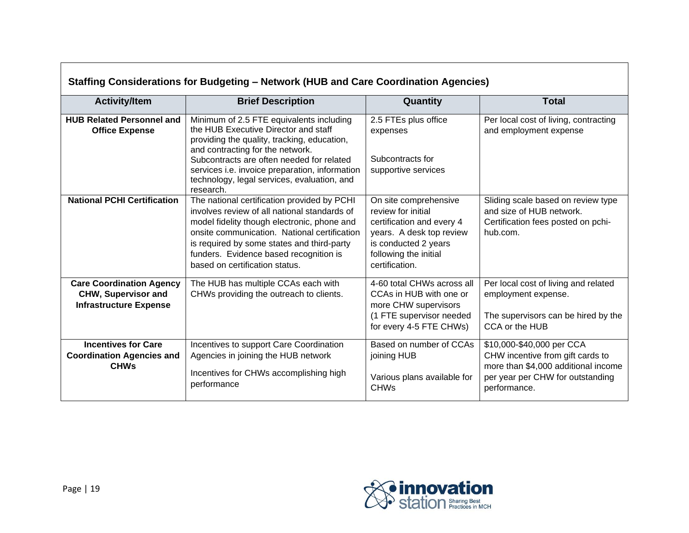| Staffing Considerations for Budgeting – Network (HUB and Care Coordination Agencies)           |                                                                                                                                                                                                                                                                                                                                       |                                                                                                                                                                         |                                                                                                                                                          |  |
|------------------------------------------------------------------------------------------------|---------------------------------------------------------------------------------------------------------------------------------------------------------------------------------------------------------------------------------------------------------------------------------------------------------------------------------------|-------------------------------------------------------------------------------------------------------------------------------------------------------------------------|----------------------------------------------------------------------------------------------------------------------------------------------------------|--|
| <b>Activity/Item</b>                                                                           | <b>Brief Description</b>                                                                                                                                                                                                                                                                                                              | Quantity                                                                                                                                                                | <b>Total</b>                                                                                                                                             |  |
| <b>HUB Related Personnel and</b><br><b>Office Expense</b>                                      | Minimum of 2.5 FTE equivalents including<br>the HUB Executive Director and staff<br>providing the quality, tracking, education,<br>and contracting for the network.<br>Subcontracts are often needed for related<br>services <i>i.e.</i> invoice preparation, information<br>technology, legal services, evaluation, and<br>research. | 2.5 FTEs plus office<br>expenses<br>Subcontracts for<br>supportive services                                                                                             | Per local cost of living, contracting<br>and employment expense                                                                                          |  |
| <b>National PCHI Certification</b>                                                             | The national certification provided by PCHI<br>involves review of all national standards of<br>model fidelity though electronic, phone and<br>onsite communication. National certification<br>is required by some states and third-party<br>funders. Evidence based recognition is<br>based on certification status.                  | On site comprehensive<br>review for initial<br>certification and every 4<br>years. A desk top review<br>is conducted 2 years<br>following the initial<br>certification. | Sliding scale based on review type<br>and size of HUB network.<br>Certification fees posted on pchi-<br>hub.com.                                         |  |
| <b>Care Coordination Agency</b><br><b>CHW, Supervisor and</b><br><b>Infrastructure Expense</b> | The HUB has multiple CCAs each with<br>CHWs providing the outreach to clients.                                                                                                                                                                                                                                                        | 4-60 total CHWs across all<br>CCAs in HUB with one or<br>more CHW supervisors<br>(1 FTE supervisor needed<br>for every 4-5 FTE CHWs)                                    | Per local cost of living and related<br>employment expense.<br>The supervisors can be hired by the<br>CCA or the HUB                                     |  |
| <b>Incentives for Care</b><br><b>Coordination Agencies and</b><br><b>CHWs</b>                  | Incentives to support Care Coordination<br>Agencies in joining the HUB network<br>Incentives for CHWs accomplishing high<br>performance                                                                                                                                                                                               | Based on number of CCAs<br>joining HUB<br>Various plans available for<br><b>CHWs</b>                                                                                    | \$10,000-\$40,000 per CCA<br>CHW incentive from gift cards to<br>more than \$4,000 additional income<br>per year per CHW for outstanding<br>performance. |  |

# **Staffing Considerations for Budgeting – Network (HUB and Care Coordination Agencies)**

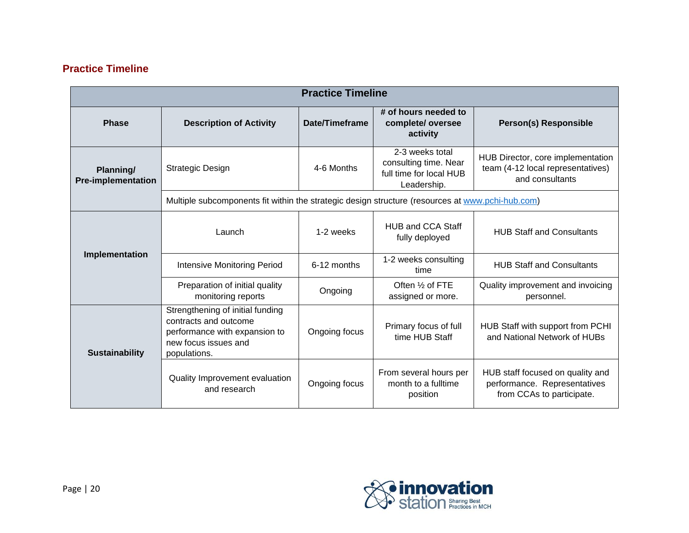# **Practice Timeline**

| <b>Practice Timeline</b>               |                                                                                                                                    |                                                                                                  |                                                                                    |                                                                                               |  |
|----------------------------------------|------------------------------------------------------------------------------------------------------------------------------------|--------------------------------------------------------------------------------------------------|------------------------------------------------------------------------------------|-----------------------------------------------------------------------------------------------|--|
| <b>Phase</b>                           | <b>Description of Activity</b>                                                                                                     | Date/Timeframe                                                                                   | # of hours needed to<br>complete/oversee<br>activity                               | <b>Person(s) Responsible</b>                                                                  |  |
| Planning/<br><b>Pre-implementation</b> | <b>Strategic Design</b>                                                                                                            | 4-6 Months                                                                                       | 2-3 weeks total<br>consulting time. Near<br>full time for local HUB<br>Leadership. | HUB Director, core implementation<br>team (4-12 local representatives)<br>and consultants     |  |
|                                        |                                                                                                                                    | Multiple subcomponents fit within the strategic design structure (resources at www.pchi-hub.com) |                                                                                    |                                                                                               |  |
| Implementation                         | Launch                                                                                                                             | 1-2 weeks                                                                                        | <b>HUB and CCA Staff</b><br>fully deployed                                         | <b>HUB Staff and Consultants</b>                                                              |  |
|                                        | <b>Intensive Monitoring Period</b>                                                                                                 | 6-12 months                                                                                      | 1-2 weeks consulting<br>time                                                       | <b>HUB Staff and Consultants</b>                                                              |  |
|                                        | Preparation of initial quality<br>monitoring reports                                                                               | Ongoing                                                                                          | Often 1/2 of FTE<br>assigned or more.                                              | Quality improvement and invoicing<br>personnel.                                               |  |
| <b>Sustainability</b>                  | Strengthening of initial funding<br>contracts and outcome<br>performance with expansion to<br>new focus issues and<br>populations. | Ongoing focus                                                                                    | Primary focus of full<br>time HUB Staff                                            | HUB Staff with support from PCHI<br>and National Network of HUBs                              |  |
|                                        | Quality Improvement evaluation<br>and research                                                                                     | Ongoing focus                                                                                    | From several hours per<br>month to a fulltime<br>position                          | HUB staff focused on quality and<br>performance. Representatives<br>from CCAs to participate. |  |

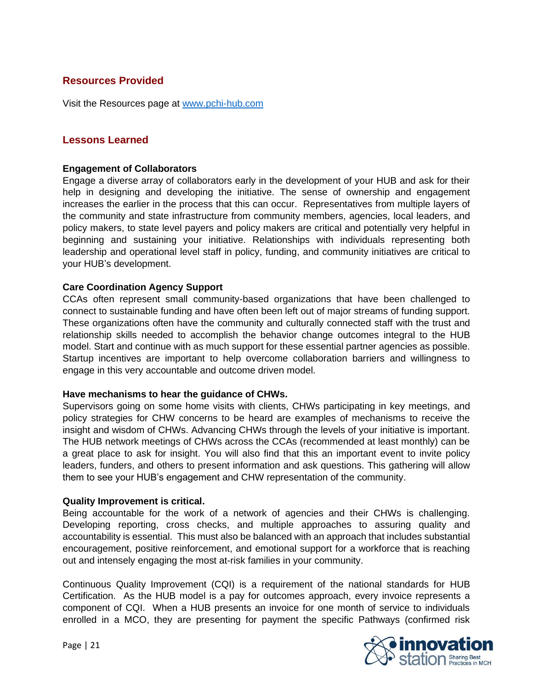# **Resources Provided**

Visit the Resources page at [www.pchi-hub.com](http://www.pchi-hub.com/)

# **Lessons Learned**

#### **Engagement of Collaborators**

Engage a diverse array of collaborators early in the development of your HUB and ask for their help in designing and developing the initiative. The sense of ownership and engagement increases the earlier in the process that this can occur. Representatives from multiple layers of the community and state infrastructure from community members, agencies, local leaders, and policy makers, to state level payers and policy makers are critical and potentially very helpful in beginning and sustaining your initiative. Relationships with individuals representing both leadership and operational level staff in policy, funding, and community initiatives are critical to your HUB's development.

#### **Care Coordination Agency Support**

CCAs often represent small community-based organizations that have been challenged to connect to sustainable funding and have often been left out of major streams of funding support. These organizations often have the community and culturally connected staff with the trust and relationship skills needed to accomplish the behavior change outcomes integral to the HUB model. Start and continue with as much support for these essential partner agencies as possible. Startup incentives are important to help overcome collaboration barriers and willingness to engage in this very accountable and outcome driven model.

#### **Have mechanisms to hear the guidance of CHWs.**

Supervisors going on some home visits with clients, CHWs participating in key meetings, and policy strategies for CHW concerns to be heard are examples of mechanisms to receive the insight and wisdom of CHWs. Advancing CHWs through the levels of your initiative is important. The HUB network meetings of CHWs across the CCAs (recommended at least monthly) can be a great place to ask for insight. You will also find that this an important event to invite policy leaders, funders, and others to present information and ask questions. This gathering will allow them to see your HUB's engagement and CHW representation of the community.

#### **Quality Improvement is critical.**

Being accountable for the work of a network of agencies and their CHWs is challenging. Developing reporting, cross checks, and multiple approaches to assuring quality and accountability is essential. This must also be balanced with an approach that includes substantial encouragement, positive reinforcement, and emotional support for a workforce that is reaching out and intensely engaging the most at-risk families in your community.

Continuous Quality Improvement (CQI) is a requirement of the national standards for HUB Certification. As the HUB model is a pay for outcomes approach, every invoice represents a component of CQI. When a HUB presents an invoice for one month of service to individuals enrolled in a MCO, they are presenting for payment the specific Pathways (confirmed risk

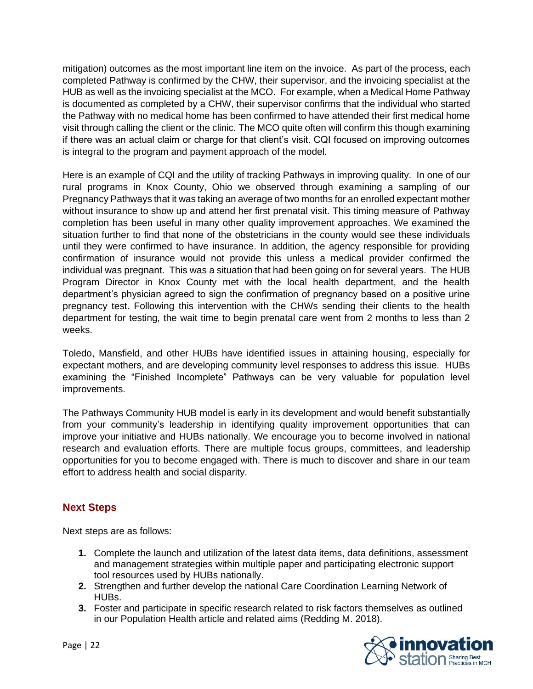mitigation) outcomes as the most important line item on the invoice. As part of the process, each completed Pathway is confirmed by the CHW, their supervisor, and the invoicing specialist at the HUB as well as the invoicing specialist at the MCO. For example, when a Medical Home Pathway is documented as completed by a CHW, their supervisor confirms that the individual who started the Pathway with no medical home has been confirmed to have attended their first medical home visit through calling the client or the clinic. The MCO quite often will confirm this though examining if there was an actual claim or charge for that client's visit. CQI focused on improving outcomes is integral to the program and payment approach of the model.

Here is an example of CQI and the utility of tracking Pathways in improving quality. In one of our rural programs in Knox County, Ohio we observed through examining a sampling of our Pregnancy Pathways that it was taking an average of two months for an enrolled expectant mother without insurance to show up and attend her first prenatal visit. This timing measure of Pathway completion has been useful in many other quality improvement approaches. We examined the situation further to find that none of the obstetricians in the county would see these individuals until they were confirmed to have insurance. In addition, the agency responsible for providing confirmation of insurance would not provide this unless a medical provider confirmed the individual was pregnant. This was a situation that had been going on for several years. The HUB Program Director in Knox County met with the local health department, and the health department's physician agreed to sign the confirmation of pregnancy based on a positive urine pregnancy test. Following this intervention with the CHWs sending their clients to the health department for testing, the wait time to begin prenatal care went from 2 months to less than 2 weeks.

Toledo, Mansfield, and other HUBs have identified issues in attaining housing, especially for expectant mothers, and are developing community level responses to address this issue. HUBs examining the "Finished Incomplete" Pathways can be very valuable for population level improvements.

The Pathways Community HUB model is early in its development and would benefit substantially from your community's leadership in identifying quality improvement opportunities that can improve your initiative and HUBs nationally. We encourage you to become involved in national research and evaluation efforts. There are multiple focus groups, committees, and leadership opportunities for you to become engaged with. There is much to discover and share in our team effort to address health and social disparity.

# **Next Steps**

Next steps are as follows:

- **1.** Complete the launch and utilization of the latest data items, data definitions, assessment and management strategies within multiple paper and participating electronic support tool resources used by HUBs nationally.
- **2.** Strengthen and further develop the national Care Coordination Learning Network of HUBs.
- **3.** Foster and participate in specific research related to risk factors themselves as outlined in our Population Health article and related aims (Redding M. 2018).

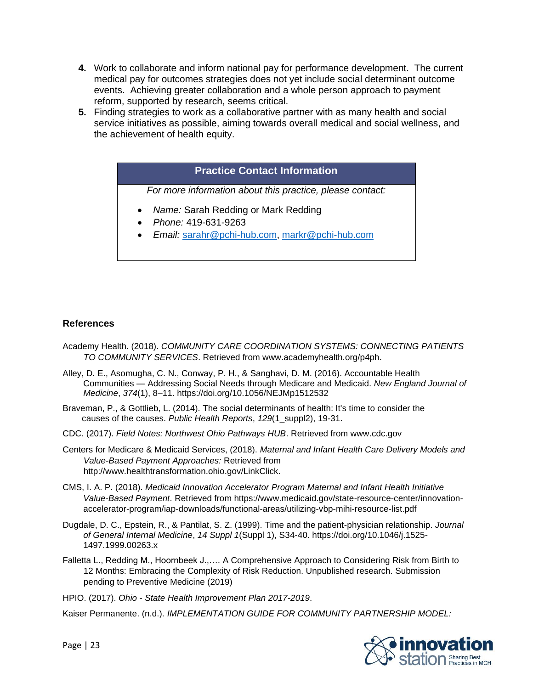- **4.** Work to collaborate and inform national pay for performance development. The current medical pay for outcomes strategies does not yet include social determinant outcome events. Achieving greater collaboration and a whole person approach to payment reform, supported by research, seems critical.
- **5.** Finding strategies to work as a collaborative partner with as many health and social service initiatives as possible, aiming towards overall medical and social wellness, and the achievement of health equity.

## **Practice Contact Information**

*For more information about this practice, please contact:*

- *Name:* Sarah Redding or Mark Redding
- *Phone:* 419-631-9263
- *Email:* [sarahr@pchi-hub.com,](mailto:sarahr@pchi-hub.com) [markr@pchi-hub.com](mailto:markr@pchi-hub.com)

#### **References**

- Academy Health. (2018). *COMMUNITY CARE COORDINATION SYSTEMS: CONNECTING PATIENTS TO COMMUNITY SERVICES*. Retrieved from www.academyhealth.org/p4ph.
- Alley, D. E., Asomugha, C. N., Conway, P. H., & Sanghavi, D. M. (2016). Accountable Health Communities — Addressing Social Needs through Medicare and Medicaid. *New England Journal of Medicine*, *374*(1), 8–11. https://doi.org/10.1056/NEJMp1512532
- Braveman, P., & Gottlieb, L. (2014). The social determinants of health: It's time to consider the causes of the causes. *Public Health Reports*, *129*(1\_suppl2), 19-31.
- CDC. (2017). *Field Notes: Northwest Ohio Pathways HUB*. Retrieved from www.cdc.gov
- Centers for Medicare & Medicaid Services, (2018). *Maternal and Infant Health Care Delivery Models and Value-Based Payment Approaches:* Retrieved from http://www.healthtransformation.ohio.gov/LinkClick.
- CMS, I. A. P. (2018). *Medicaid Innovation Accelerator Program Maternal and Infant Health Initiative Value-Based Payment*. Retrieved from https://www.medicaid.gov/state-resource-center/innovationaccelerator-program/iap-downloads/functional-areas/utilizing-vbp-mihi-resource-list.pdf
- Dugdale, D. C., Epstein, R., & Pantilat, S. Z. (1999). Time and the patient-physician relationship. *Journal of General Internal Medicine*, *14 Suppl 1*(Suppl 1), S34-40. https://doi.org/10.1046/j.1525- 1497.1999.00263.x
- Falletta L., Redding M., Hoornbeek J.,…. A Comprehensive Approach to Considering Risk from Birth to 12 Months: Embracing the Complexity of Risk Reduction. Unpublished research. Submission pending to Preventive Medicine (2019)
- HPIO. (2017). *Ohio - State Health Improvement Plan 2017-2019*.

Kaiser Permanente. (n.d.). *IMPLEMENTATION GUIDE FOR COMMUNITY PARTNERSHIP MODEL:*